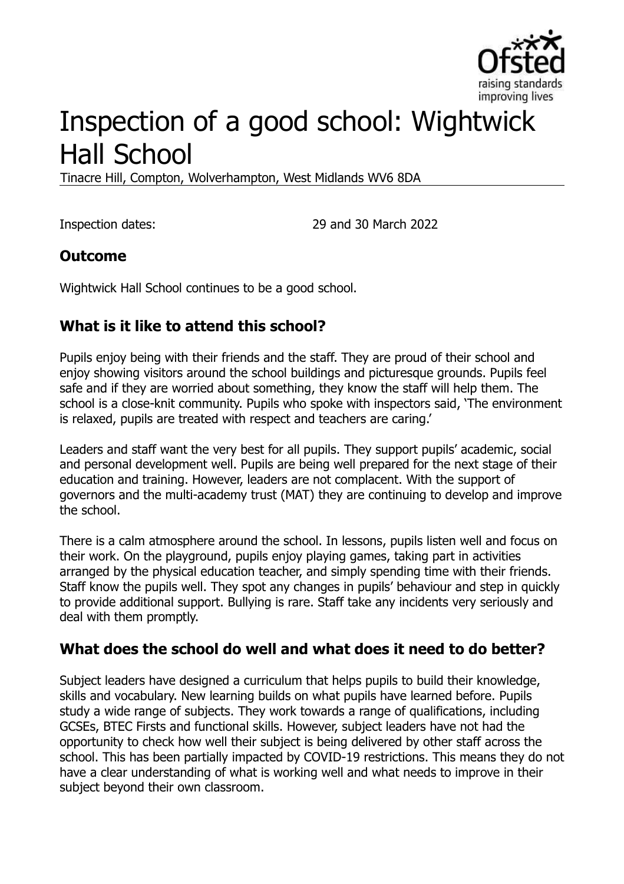

# Inspection of a good school: Wightwick Hall School

Tinacre Hill, Compton, Wolverhampton, West Midlands WV6 8DA

Inspection dates: 29 and 30 March 2022

## **Outcome**

Wightwick Hall School continues to be a good school.

## **What is it like to attend this school?**

Pupils enjoy being with their friends and the staff. They are proud of their school and enjoy showing visitors around the school buildings and picturesque grounds. Pupils feel safe and if they are worried about something, they know the staff will help them. The school is a close-knit community. Pupils who spoke with inspectors said, 'The environment is relaxed, pupils are treated with respect and teachers are caring.'

Leaders and staff want the very best for all pupils. They support pupils' academic, social and personal development well. Pupils are being well prepared for the next stage of their education and training. However, leaders are not complacent. With the support of governors and the multi-academy trust (MAT) they are continuing to develop and improve the school.

There is a calm atmosphere around the school. In lessons, pupils listen well and focus on their work. On the playground, pupils enjoy playing games, taking part in activities arranged by the physical education teacher, and simply spending time with their friends. Staff know the pupils well. They spot any changes in pupils' behaviour and step in quickly to provide additional support. Bullying is rare. Staff take any incidents very seriously and deal with them promptly.

## **What does the school do well and what does it need to do better?**

Subject leaders have designed a curriculum that helps pupils to build their knowledge, skills and vocabulary. New learning builds on what pupils have learned before. Pupils study a wide range of subjects. They work towards a range of qualifications, including GCSEs, BTEC Firsts and functional skills. However, subject leaders have not had the opportunity to check how well their subject is being delivered by other staff across the school. This has been partially impacted by COVID-19 restrictions. This means they do not have a clear understanding of what is working well and what needs to improve in their subject beyond their own classroom.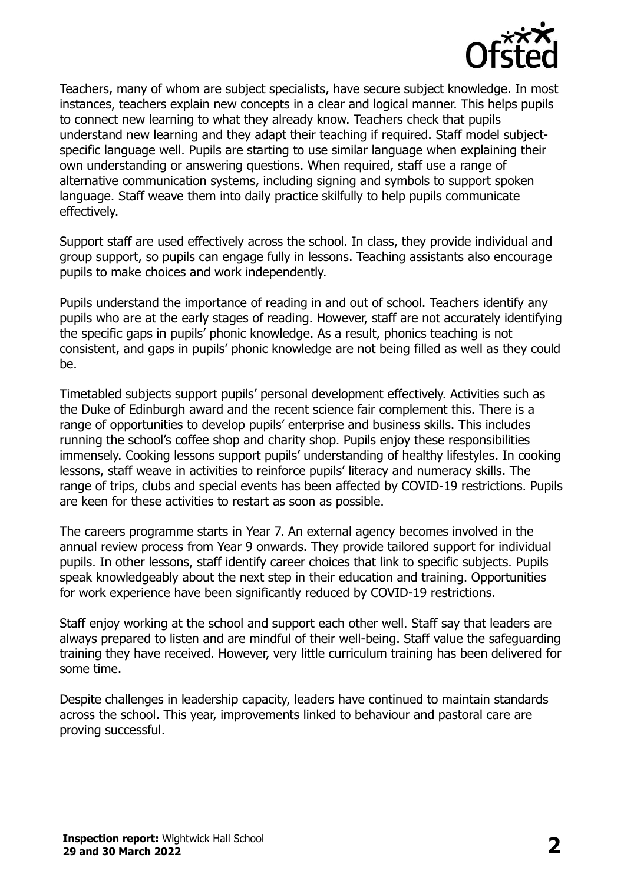

Teachers, many of whom are subject specialists, have secure subject knowledge. In most instances, teachers explain new concepts in a clear and logical manner. This helps pupils to connect new learning to what they already know. Teachers check that pupils understand new learning and they adapt their teaching if required. Staff model subjectspecific language well. Pupils are starting to use similar language when explaining their own understanding or answering questions. When required, staff use a range of alternative communication systems, including signing and symbols to support spoken language. Staff weave them into daily practice skilfully to help pupils communicate effectively.

Support staff are used effectively across the school. In class, they provide individual and group support, so pupils can engage fully in lessons. Teaching assistants also encourage pupils to make choices and work independently.

Pupils understand the importance of reading in and out of school. Teachers identify any pupils who are at the early stages of reading. However, staff are not accurately identifying the specific gaps in pupils' phonic knowledge. As a result, phonics teaching is not consistent, and gaps in pupils' phonic knowledge are not being filled as well as they could be.

Timetabled subjects support pupils' personal development effectively. Activities such as the Duke of Edinburgh award and the recent science fair complement this. There is a range of opportunities to develop pupils' enterprise and business skills. This includes running the school's coffee shop and charity shop. Pupils enjoy these responsibilities immensely. Cooking lessons support pupils' understanding of healthy lifestyles. In cooking lessons, staff weave in activities to reinforce pupils' literacy and numeracy skills. The range of trips, clubs and special events has been affected by COVID-19 restrictions. Pupils are keen for these activities to restart as soon as possible.

The careers programme starts in Year 7. An external agency becomes involved in the annual review process from Year 9 onwards. They provide tailored support for individual pupils. In other lessons, staff identify career choices that link to specific subjects. Pupils speak knowledgeably about the next step in their education and training. Opportunities for work experience have been significantly reduced by COVID-19 restrictions.

Staff enjoy working at the school and support each other well. Staff say that leaders are always prepared to listen and are mindful of their well-being. Staff value the safeguarding training they have received. However, very little curriculum training has been delivered for some time.

Despite challenges in leadership capacity, leaders have continued to maintain standards across the school. This year, improvements linked to behaviour and pastoral care are proving successful.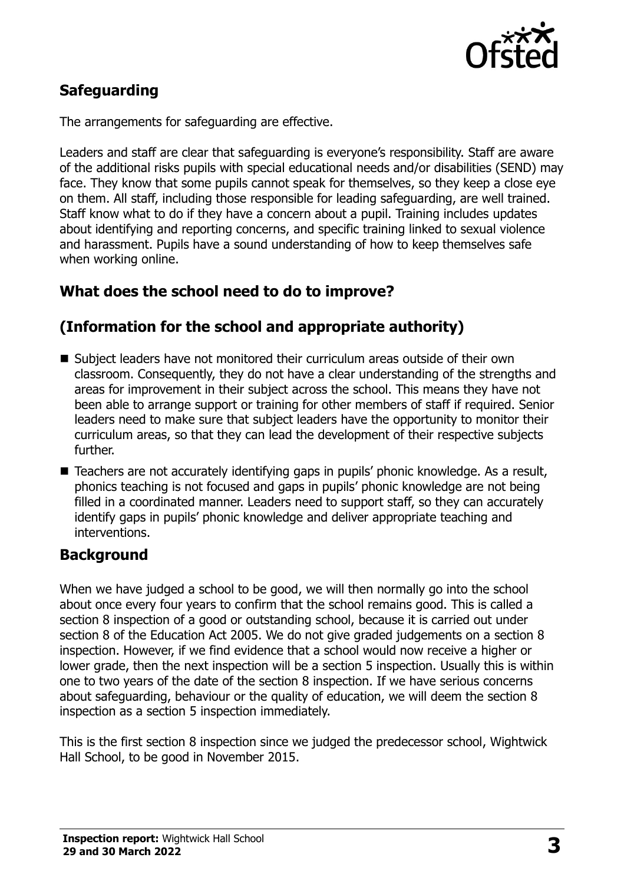

## **Safeguarding**

The arrangements for safeguarding are effective.

Leaders and staff are clear that safeguarding is everyone's responsibility. Staff are aware of the additional risks pupils with special educational needs and/or disabilities (SEND) may face. They know that some pupils cannot speak for themselves, so they keep a close eye on them. All staff, including those responsible for leading safeguarding, are well trained. Staff know what to do if they have a concern about a pupil. Training includes updates about identifying and reporting concerns, and specific training linked to sexual violence and harassment. Pupils have a sound understanding of how to keep themselves safe when working online.

## **What does the school need to do to improve?**

## **(Information for the school and appropriate authority)**

- Subject leaders have not monitored their curriculum areas outside of their own classroom. Consequently, they do not have a clear understanding of the strengths and areas for improvement in their subject across the school. This means they have not been able to arrange support or training for other members of staff if required. Senior leaders need to make sure that subject leaders have the opportunity to monitor their curriculum areas, so that they can lead the development of their respective subjects further.
- Teachers are not accurately identifying gaps in pupils' phonic knowledge. As a result, phonics teaching is not focused and gaps in pupils' phonic knowledge are not being filled in a coordinated manner. Leaders need to support staff, so they can accurately identify gaps in pupils' phonic knowledge and deliver appropriate teaching and interventions.

### **Background**

When we have judged a school to be good, we will then normally go into the school about once every four years to confirm that the school remains good. This is called a section 8 inspection of a good or outstanding school, because it is carried out under section 8 of the Education Act 2005. We do not give graded judgements on a section 8 inspection. However, if we find evidence that a school would now receive a higher or lower grade, then the next inspection will be a section 5 inspection. Usually this is within one to two years of the date of the section 8 inspection. If we have serious concerns about safeguarding, behaviour or the quality of education, we will deem the section 8 inspection as a section 5 inspection immediately.

This is the first section 8 inspection since we judged the predecessor school, Wightwick Hall School, to be good in November 2015.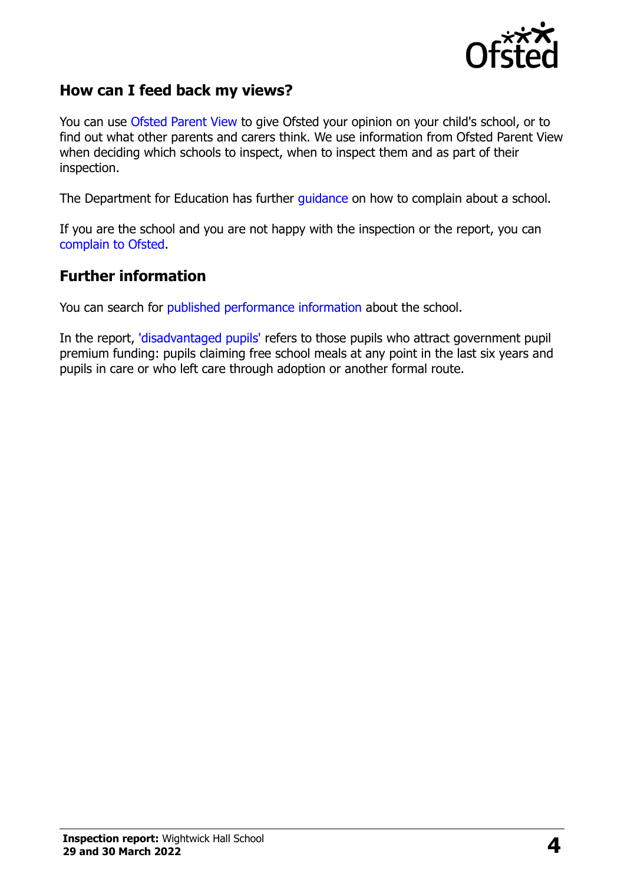

## **How can I feed back my views?**

You can use [Ofsted Parent View](https://parentview.ofsted.gov.uk/) to give Ofsted your opinion on your child's school, or to find out what other parents and carers think. We use information from Ofsted Parent View when deciding which schools to inspect, when to inspect them and as part of their inspection.

The Department for Education has further [guidance](http://www.gov.uk/complain-about-school) on how to complain about a school.

If you are the school and you are not happy with the inspection or the report, you can [complain to Ofsted.](https://www.gov.uk/complain-ofsted-report)

## **Further information**

You can search for [published performance information](http://www.compare-school-performance.service.gov.uk/) about the school.

In the report, ['disadvantaged pupils'](http://www.gov.uk/guidance/pupil-premium-information-for-schools-and-alternative-provision-settings) refers to those pupils who attract government pupil premium funding: pupils claiming free school meals at any point in the last six years and pupils in care or who left care through adoption or another formal route.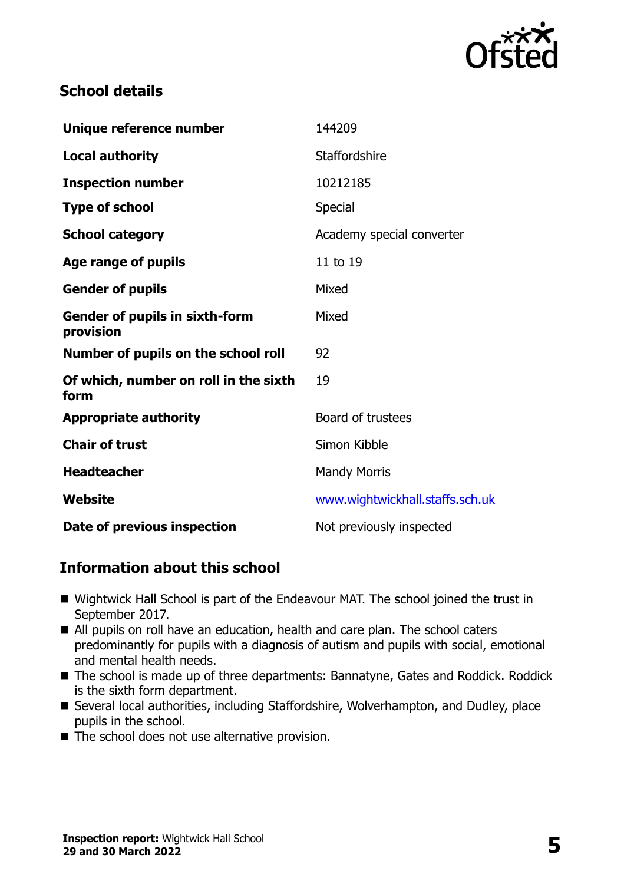

## **School details**

| Unique reference number                            | 144209                          |
|----------------------------------------------------|---------------------------------|
| <b>Local authority</b>                             | <b>Staffordshire</b>            |
| <b>Inspection number</b>                           | 10212185                        |
| <b>Type of school</b>                              | <b>Special</b>                  |
| <b>School category</b>                             | Academy special converter       |
| Age range of pupils                                | 11 to 19                        |
| <b>Gender of pupils</b>                            | Mixed                           |
| <b>Gender of pupils in sixth-form</b><br>provision | Mixed                           |
| Number of pupils on the school roll                | 92                              |
| Of which, number on roll in the sixth<br>form      | 19                              |
| <b>Appropriate authority</b>                       | Board of trustees               |
| <b>Chair of trust</b>                              | Simon Kibble                    |
| <b>Headteacher</b>                                 | <b>Mandy Morris</b>             |
| Website                                            | www.wightwickhall.staffs.sch.uk |
| Date of previous inspection                        | Not previously inspected        |

## **Information about this school**

- Wightwick Hall School is part of the Endeavour MAT. The school joined the trust in September 2017.
- All pupils on roll have an education, health and care plan. The school caters predominantly for pupils with a diagnosis of autism and pupils with social, emotional and mental health needs.
- The school is made up of three departments: Bannatyne, Gates and Roddick. Roddick is the sixth form department.
- Several local authorities, including Staffordshire, Wolverhampton, and Dudley, place pupils in the school.
- The school does not use alternative provision.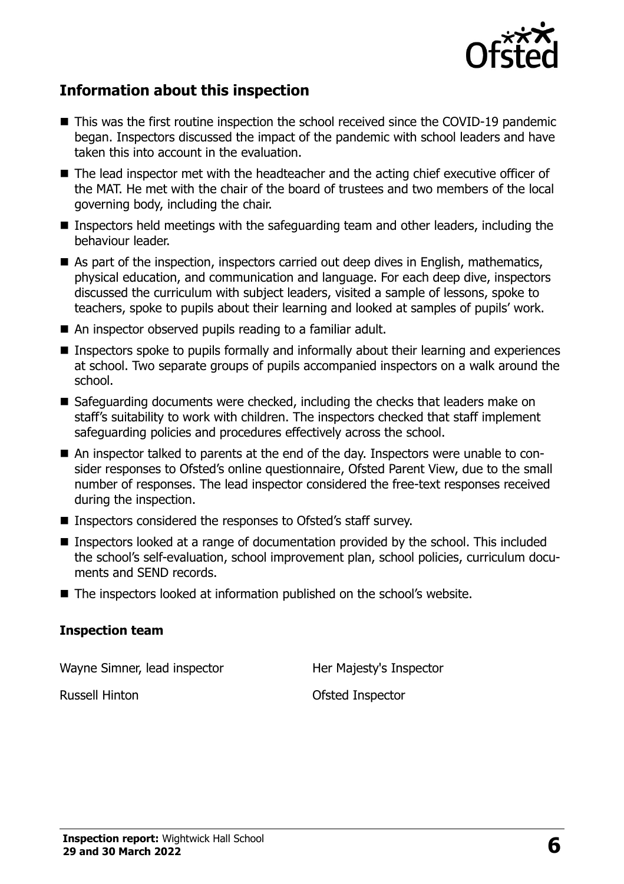

## **Information about this inspection**

- This was the first routine inspection the school received since the COVID-19 pandemic began. Inspectors discussed the impact of the pandemic with school leaders and have taken this into account in the evaluation.
- The lead inspector met with the headteacher and the acting chief executive officer of the MAT. He met with the chair of the board of trustees and two members of the local governing body, including the chair.
- Inspectors held meetings with the safeguarding team and other leaders, including the behaviour leader.
- As part of the inspection, inspectors carried out deep dives in English, mathematics, physical education, and communication and language. For each deep dive, inspectors discussed the curriculum with subject leaders, visited a sample of lessons, spoke to teachers, spoke to pupils about their learning and looked at samples of pupils' work.
- An inspector observed pupils reading to a familiar adult.
- Inspectors spoke to pupils formally and informally about their learning and experiences at school. Two separate groups of pupils accompanied inspectors on a walk around the school.
- Safeguarding documents were checked, including the checks that leaders make on staff's suitability to work with children. The inspectors checked that staff implement safeguarding policies and procedures effectively across the school.
- An inspector talked to parents at the end of the day. Inspectors were unable to consider responses to Ofsted's online questionnaire, Ofsted Parent View, due to the small number of responses. The lead inspector considered the free-text responses received during the inspection.
- Inspectors considered the responses to Ofsted's staff survey.
- Inspectors looked at a range of documentation provided by the school. This included the school's self-evaluation, school improvement plan, school policies, curriculum documents and SEND records.
- The inspectors looked at information published on the school's website.

#### **Inspection team**

Wayne Simner, lead inspector Her Majesty's Inspector

Russell Hinton Ofsted Inspector